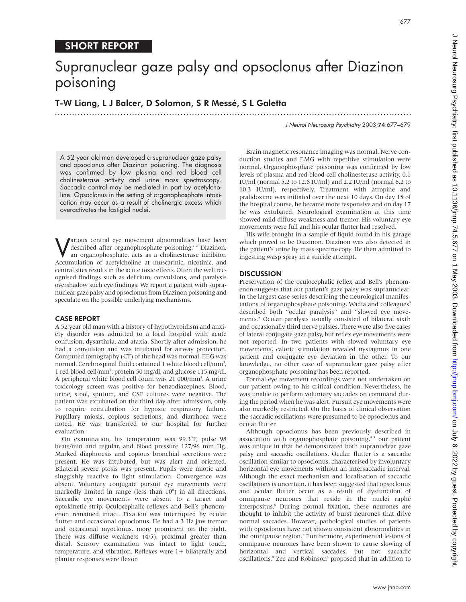# Supranuclear gaze palsy and opsoclonus after Diazinon poisoning

.............................................................................................................................

T-W Liang, L J Balcer, D Solomon, S R Messé, S L Galetta

J Neurol Neurosurg Psychiatry 2003;74:677–679

A 52 year old man developed a supranuclear gaze palsy and opsoclonus after Diazinon poisoning. The diagnosis was confirmed by low plasma and red blood cell cholinesterase activity and urine mass spectroscopy. Saccadic control may be mediated in part by acetylcholine. Opsoclonus in the setting of organophosphate intoxication may occur as a result of cholinergic excess which overactivates the fastigial nuclei.

**V**arious central eye movement abnormalities have been<br>described after organophosphate poisoning.<sup>12</sup> Diazinon,<br>an organophosphate, acts as a cholinesterase inhibitor. described after organophosphate poisoning.<sup>12</sup> Diazinon, an organophosphate, acts as a cholinesterase inhibitor. Accumulation of acetylcholine at muscarinic, nicotinic, and central sites results in the acute toxic effects. Often the well recognised findings such as delirium, convulsions, and paralysis overshadow such eye findings. We report a patient with supranuclear gaze palsy and opsoclonus from Diazinon poisoning and speculate on the possible underlying mechanisms.

## CASE REPORT

A 52 year old man with a history of hypothyroidism and anxiety disorder was admitted to a local hospital with acute confusion, dysarthria, and ataxia. Shortly after admission, he had a convulsion and was intubated for airway protection. Computed tomography (CT) of the head was normal. EEG was normal. Cerebrospinal fluid contained 1 white blood cell/mm<sup>3</sup>, 1 red blood cell/mm3 , protein 50 mg/dl, and glucose 115 mg/dl. A peripheral white blood cell count was 21 000/mm<sup>3</sup>. A urine toxicology screen was positive for benzodiazepines. Blood, urine, stool, sputum, and CSF cultures were negative. The patient was extubated on the third day after admission, only to require reintubation for hypoxic respiratory failure. Pupillary miosis, copious secretions, and diarrhoea were noted. He was transferred to our hospital for further evaluation.

On examination, his temperature was 99.3°F, pulse 98 beats/min and regular, and blood pressure 127/96 mm Hg. Marked diaphoresis and copious bronchial secretions were present. He was intubated, but was alert and oriented. Bilateral severe ptosis was present. Pupils were miotic and sluggishly reactive to light stimulation. Convergence was absent. Voluntary conjugate pursuit eye movements were markedly limited in range (less than 10°) in all directions. Saccadic eye movements were absent to a target and optokinetic strip. Oculocephalic reflexes and Bell's phenomenon remained intact. Fixation was interrupted by ocular flutter and occasional opsoclonus. He had a 3 Hz jaw tremor and occasional myoclonus, more prominent on the right. There was diffuse weakness (4/5), proximal greater than distal. Sensory examination was intact to light touch, temperature, and vibration. Reflexes were 1+ bilaterally and plantar responses were flexor.

Brain magnetic resonance imaging was normal. Nerve conduction studies and EMG with repetitive stimulation were normal. Organophosphate poisoning was confirmed by low levels of plasma and red blood cell cholinesterase activity, 0.1 IU/ml (normal 5.2 to 12.8 IU/ml) and 2.2 IU/ml (normal 6.2 to 10.3 IU/ml), respectively. Treatment with atropine and pralidoxime was initiated over the next 10 days. On day 15 of the hospital course, he became more responsive and on day 17 he was extubated. Neurological examination at this time showed mild diffuse weakness and tremor. His voluntary eye movements were full and his ocular flutter had resolved.

His wife brought in a sample of liquid found in his garage which proved to be Diazinon. Diazinon was also detected in the patient's urine by mass spectroscopy. He then admitted to ingesting wasp spray in a suicide attempt.

### **DISCUSSION**

Preservation of the oculocephalic reflex and Bell's phenomenon suggests that our patient's gaze palsy was supranuclear. In the largest case series describing the neurological manifestations of organophosphate poisoning, Wadia and colleagues<sup>3</sup> described both "ocular paralysis" and "slowed eye movements." Ocular paralysis usually consisted of bilateral sixth and occasionally third nerve palsies. There were also five cases of lateral conjugate gaze palsy, but reflex eye movements were not reported. In two patients with slowed voluntary eye movements, caloric stimulation revealed nystagmus in one patient and conjugate eye deviation in the other. To our knowledge, no other case of supranuclear gaze palsy after organophosphate poisoning has been reported.

Formal eye movement recordings were not undertaken on our patient owing to his critical condition. Nevertheless, he was unable to perform voluntary saccades on command during the period when he was alert. Pursuit eye movements were also markedly restricted. On the basis of clinical observation the saccadic oscillations were presumed to be opsoclonus and ocular flutter.

Although opsoclonus has been previously described in association with organophosphate poisoning, $45$  our patient was unique in that he demonstrated both supranuclear gaze palsy and saccadic oscillations. Ocular flutter is a saccadic oscillation similar to opsoclonus, characterised by involuntary horizontal eye movements without an intersaccadic interval. Although the exact mechanism and localisation of saccadic oscillations is uncertain, it has been suggested that opsoclonus and ocular flutter occur as a result of dysfunction of omnipause neurones that reside in the nuclei raphé interpositus.<sup>6</sup> During normal fixation, these neurones are thought to inhibit the activity of burst neurones that drive normal saccades. However, pathological studies of patients with opsoclonus have not shown consistent abnormalities in the omnipause region.<sup>7</sup> Furthermore, experimental lesions of omnipause neurones have been shown to cause slowing of horizontal and vertical saccades, but not saccadic oscillations.<sup>8</sup> Zee and Robinson<sup>6</sup> proposed that in addition to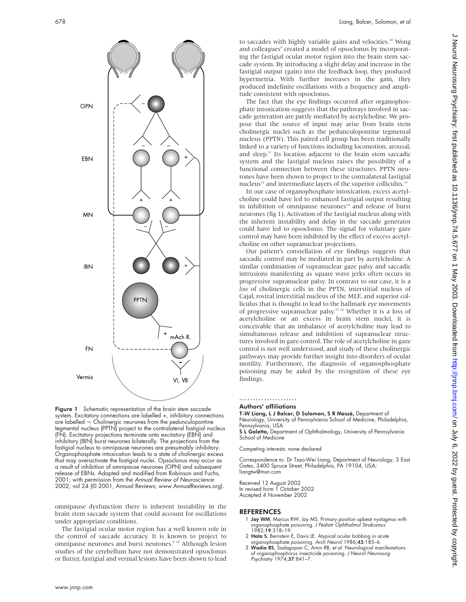

Figure 1 Schematic representation of the brain stem saccade system. Excitatory connections are labelled +, inhibitory connections are labelled −. Cholinergic neurones from the pedunculopontine tegmental nucleus (PPTN) project to the contralateral fastigial nucleus (FN). Excitatory projections terminate onto excitatory (EBN) and inhibitory (IBN) burst neurones bilaterally. The projections from the fastigial nucleus to omnipause neurones are presumably inhibitory. Organophosphate intoxication leads to a state of cholinergic excess that may overactivate the fastigial nuclei. Opsoclonus may occur as a result of inhibition of omnipause neurones (OPN) and subsequent release of EBNs. Adapted and modified from Robinson and Fuchs, 2001; with permission from the Annual Review of Neuroscience 2002, vol 24 (© 2001, Annual Reviews; www.AnnualReviews.org).

omnipause dysfunction there is inherent instability in the brain stem saccade system that could account for oscillations under appropriate conditions.

The fastigial ocular motor region has a well known role in the control of saccade accuracy. It is known to project to omnipause neurones and burst neurones.<sup>9 10</sup> Although lesion studies of the cerebellum have not demonstrated opsoclonus or flutter, fastigial and vermal lesions have been shown to lead

to saccades with highly variable gains and velocities.<sup>10</sup> Wong and colleagues<sup>9</sup> created a model of opsoclonus by incorporating the fastigial ocular motor region into the brain stem saccade system. By introducing a slight delay and increase in the fastigial output (gain) into the feedback loop, they produced hypermetria. With further increases in the gain, they produced indefinite oscillations with a frequency and amplitude consistent with opsoclonus.

The fact that the eye findings occurred after organophosphate intoxication suggests that the pathways involved in saccade generation are partly mediated by acetylcholine. We propose that the source of input may arise from brain stem cholinergic nuclei such as the pedunculopontine tegmental nucleus (PPTN). This paired cell group has been traditionally linked to a variety of functions including locomotion, arousal, and sleep.<sup>11</sup> Its location adjacent to the brain stem saccadic system and the fastigial nucleus raises the possibility of a functional connection between these structures. PPTN neurones have been shown to project to the contralateral fastigial nucleus<sup>12</sup> and intermediate layers of the superior colliculus.<sup>13</sup>

In our case of organophosphate intoxication, excess acetylcholine could have led to enhanced fastigial output resulting in inhibition of omnipause neurones<sup>14</sup> and release of burst neurones (fig 1). Activation of the fastigial nucleus along with the inherent instability and delay in the saccade generator could have led to opsoclonus. The signal for voluntary gaze control may have been inhibited by the effect of excess acetylcholine on other supranuclear projections.

Our patient's constellation of eye findings suggests that saccadic control may be mediated in part by acetylcholine. A similar combination of supranuclear gaze palsy and saccadic intrusions manifesting as square wave jerks often occurs in progressive supranuclear palsy. In contrast to our case, it is a *loss* of cholinergic cells in the PPTN, interstitial nucleus of Cajal, rostral interstitial nucleus of the MLF, and superior colliculus that is thought to lead to the hallmark eye movements of progressive supranuclear palsy.15 16 Whether it is a loss of acetylcholine or an excess in brain stem nuclei, it is conceivable that an imbalance of acetylcholine may lead to simultaneous release and inhibition of supranuclear structures involved in gaze control. The role of acetylcholine in gaze control is not well understood, and study of these cholinergic pathways may provide further insight into disorders of ocular motility. Furthermore, the diagnosis of organosphosphate poisoning may be aided by the recognition of these eye findings.

#### ..................... Authors' affiliations

T-W Liang, L J Balcer, D Solomon, S R Messé, Department of Neurology, University of Pennsylvania School of Medicine, Philadelphia, Pennsylvania, USA

S L Galetta, Department of Ophthalmology, University of Pennsylvania School of Medicine

Competing interests: none declared

Correspondence to: Dr Tsao-Wei Liang, Department of Neurology, 3 East Gates, 3400 Spruce Street, Philadelphia, PA 19104, USA; liangtw@msn.com

Received 12 August 2002 In revised form 1 October 2002 Accepted 4 November 2002

#### **REFERENCES**

- 1 **Jay WM**, Marcus RW, Jay MS. Primary position upbeat nystagmus with<br>| organophosphate poisoning. *J Pediatr Ophthalmol Strabismus*<br>| 1982;**19**:318–19.
- 2 Hata S, Bernstein E, Davis LE. Atypical ocular bobbing in acute
- organophosphate poisoning. *Arch Neurol* 1986;**43**:185–6.<br>3 **Wadia RS**, Sadagopan C, Amin RB, *et al*. Neurological manifestations of organophosphorus insecticide poisoning. J Neurol Neurosurg Psychiatry 1974;37:841–7.